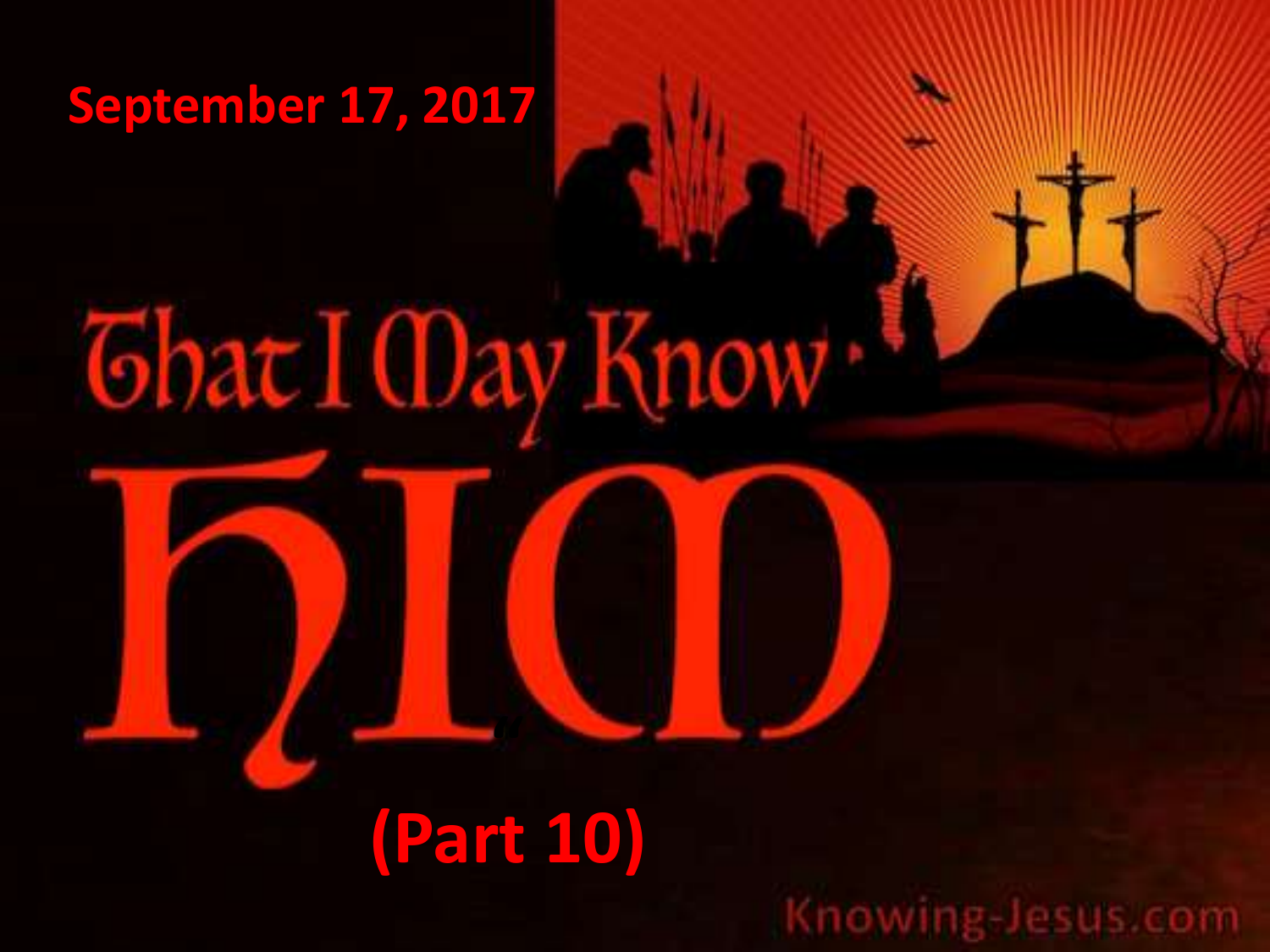#### **September 17, 2017**

# **Ghat I Oay Know**

## **(Part 10)**

**"**

Knowing-Jesus.com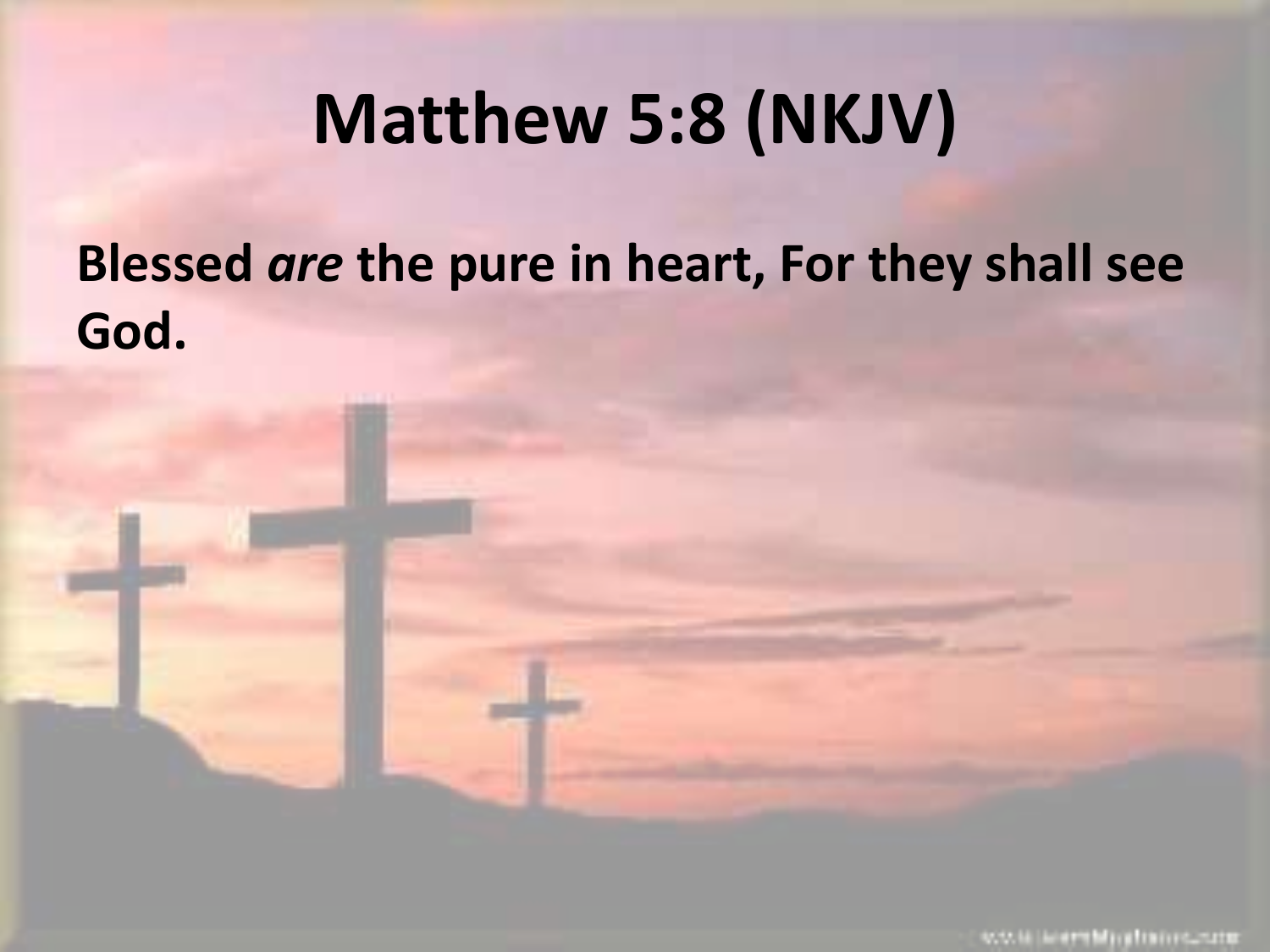## **Matthew 5:8 (NKJV)**

#### **Blessed** *are* **the pure in heart, For they shall see God.**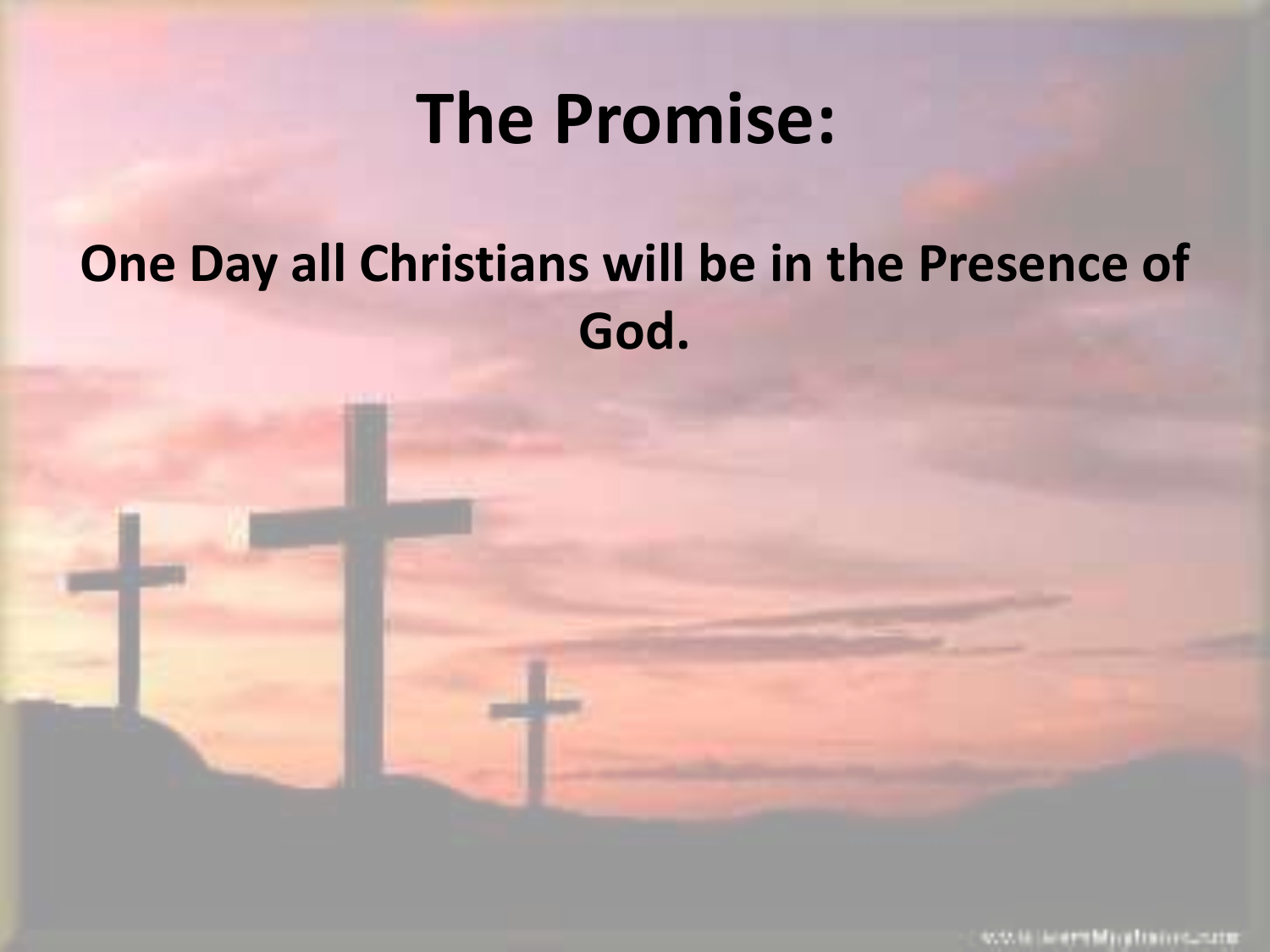#### **The Promise:**

#### **One Day all Christians will be in the Presence of God.**

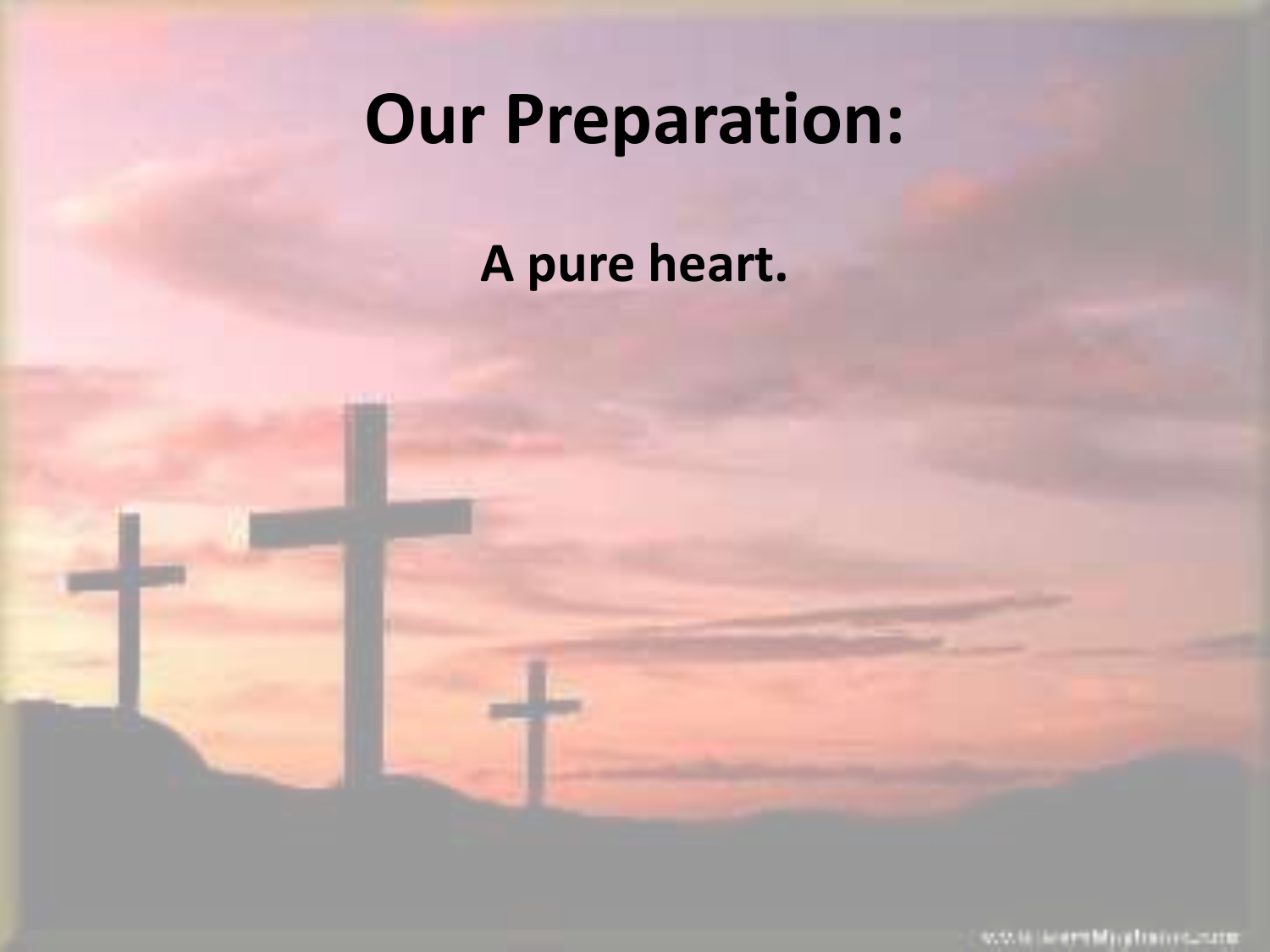# **Our Preparation:**

#### **A pure heart.**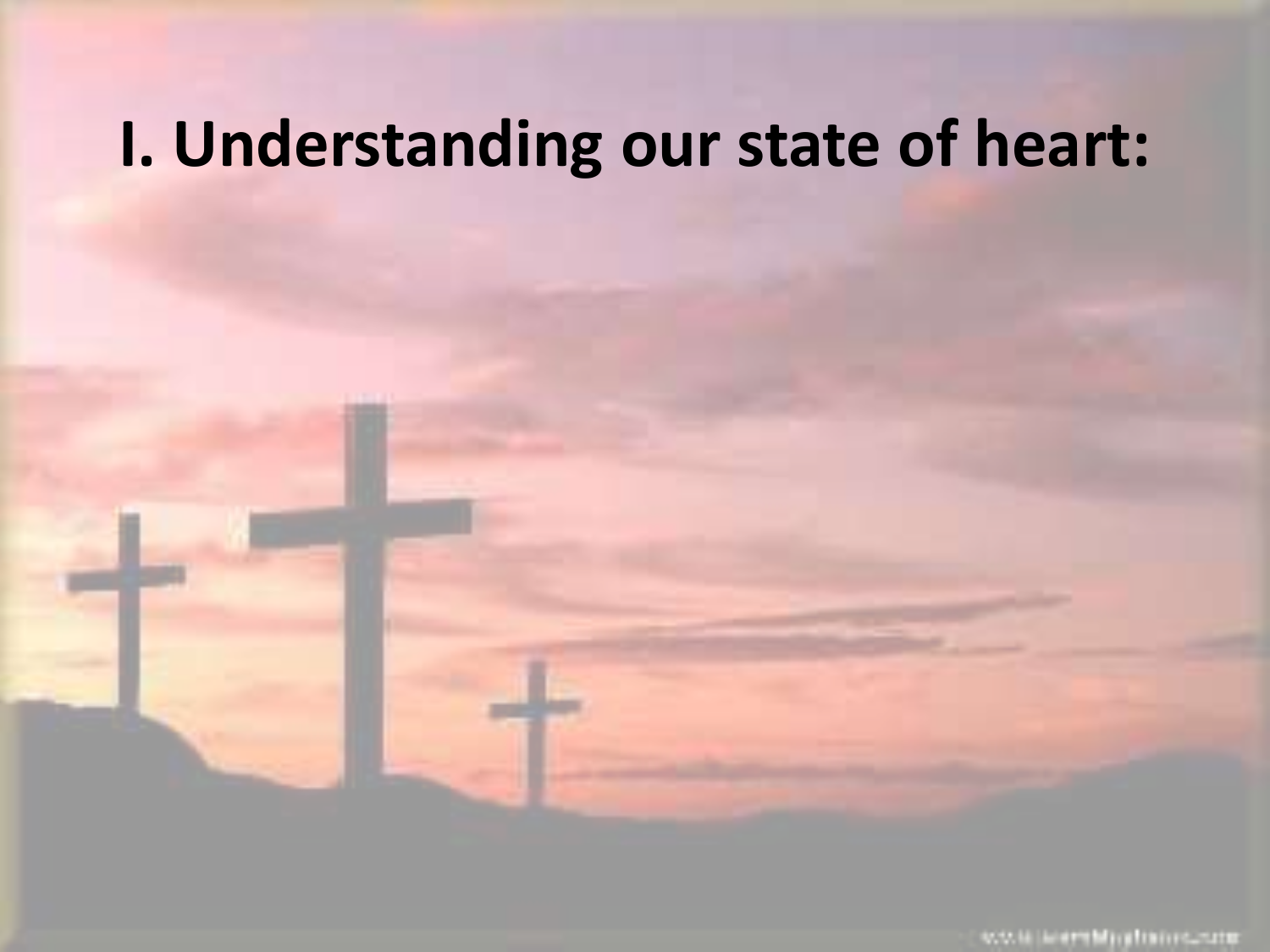#### **I. Understanding our state of heart:**

www.laternMaghainschafts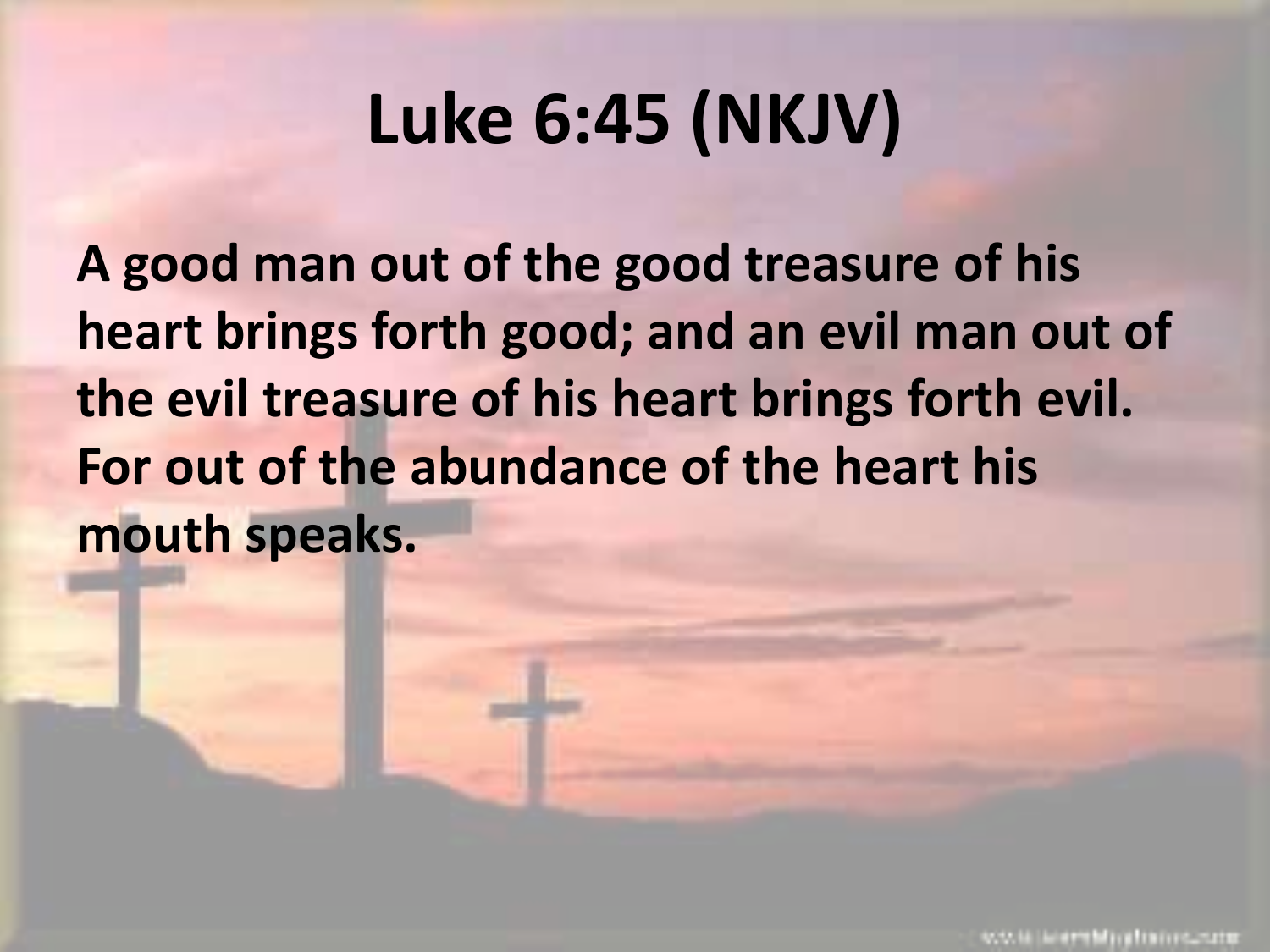# **Luke 6:45 (NKJV)**

**A good man out of the good treasure of his heart brings forth good; and an evil man out of the evil treasure of his heart brings forth evil. For out of the abundance of the heart his mouth speaks.**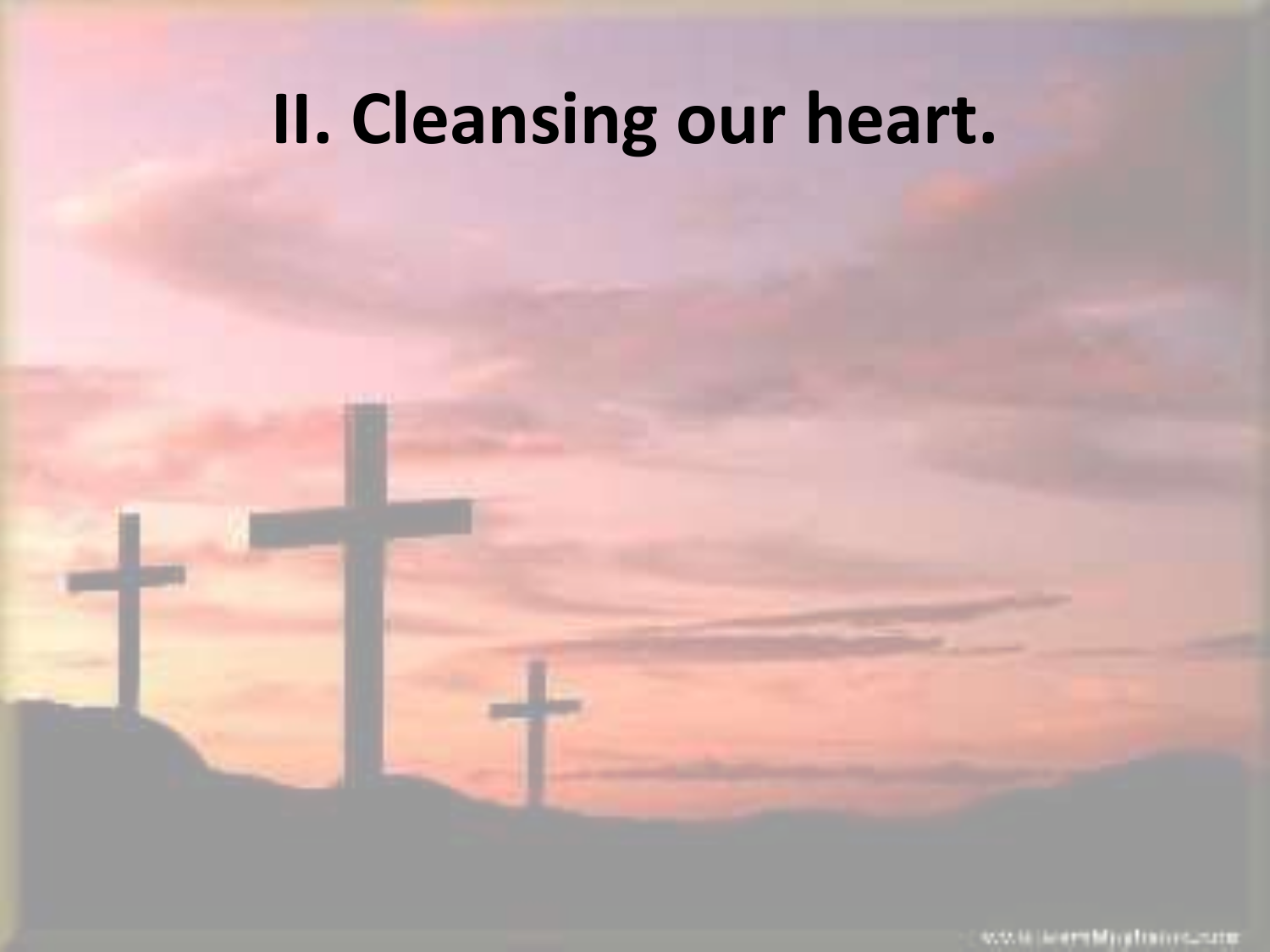# **II. Cleansing our heart.**

www.latermMagnitudes.com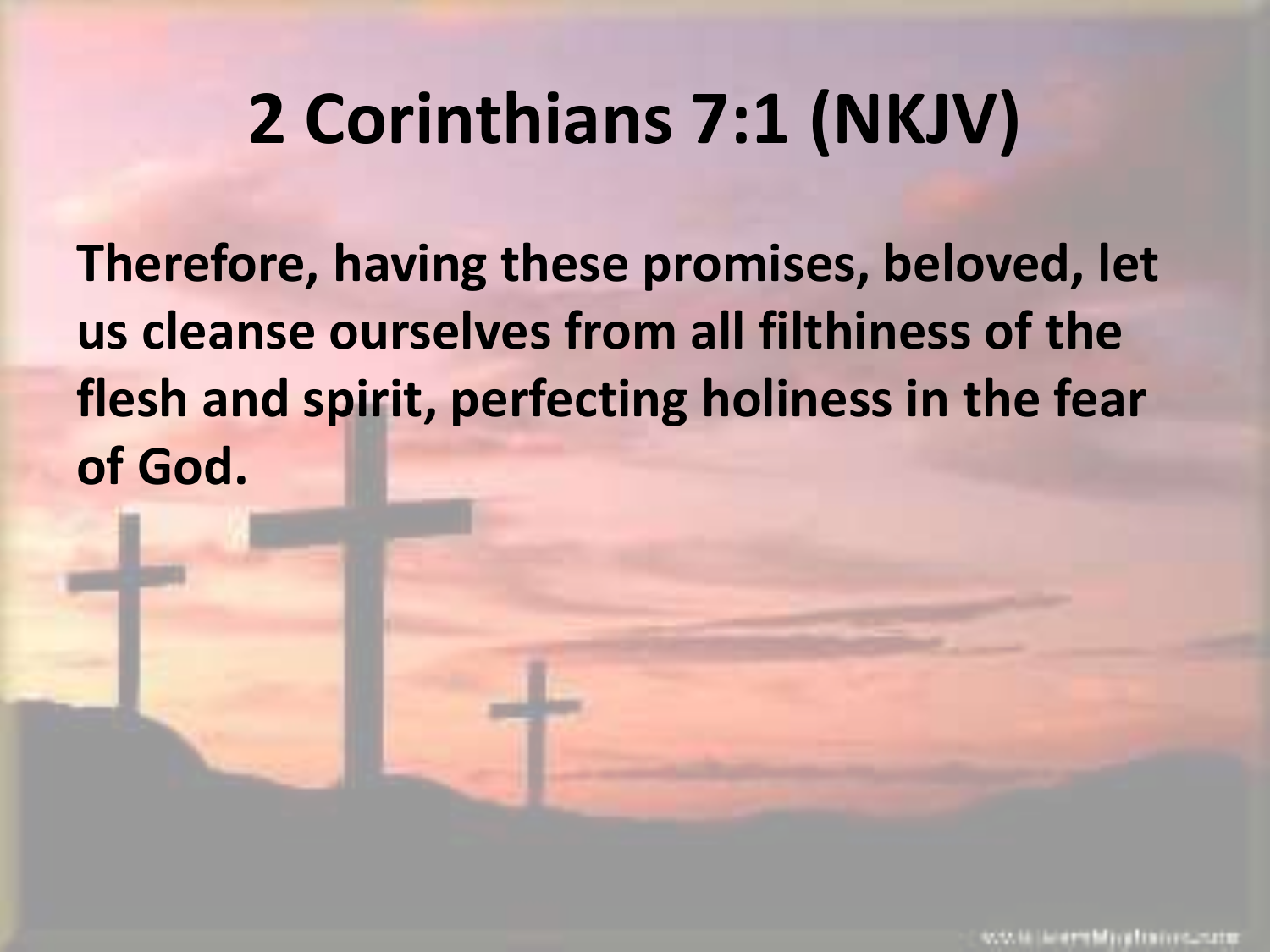## **2 Corinthians 7:1 (NKJV)**

**Therefore, having these promises, beloved, let us cleanse ourselves from all filthiness of the flesh and spirit, perfecting holiness in the fear of God.**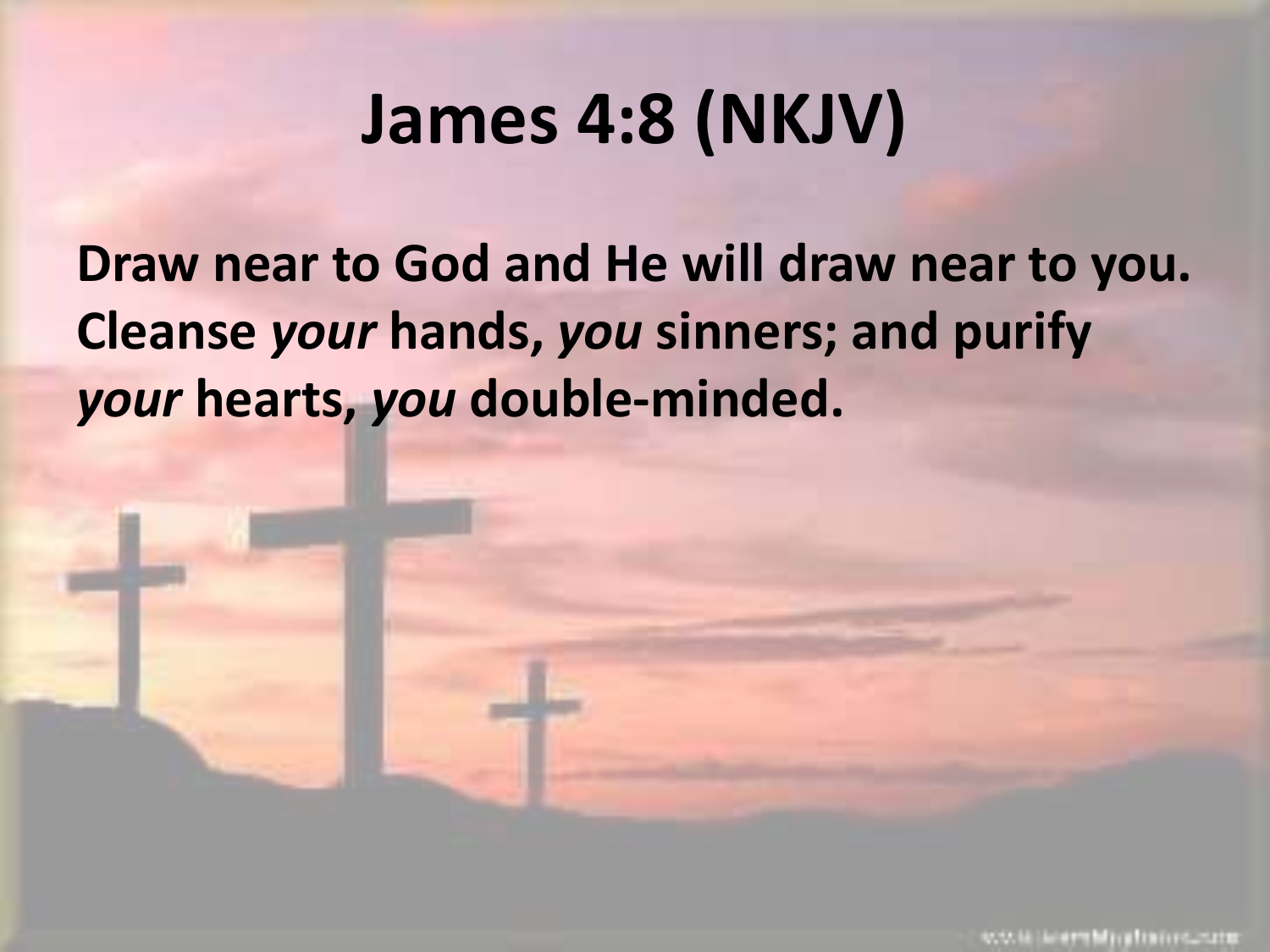#### **James 4:8 (NKJV)**

**Draw near to God and He will draw near to you. Cleanse** *your* **hands,** *you* **sinners; and purify**  *your* **hearts,** *you* **double-minded.**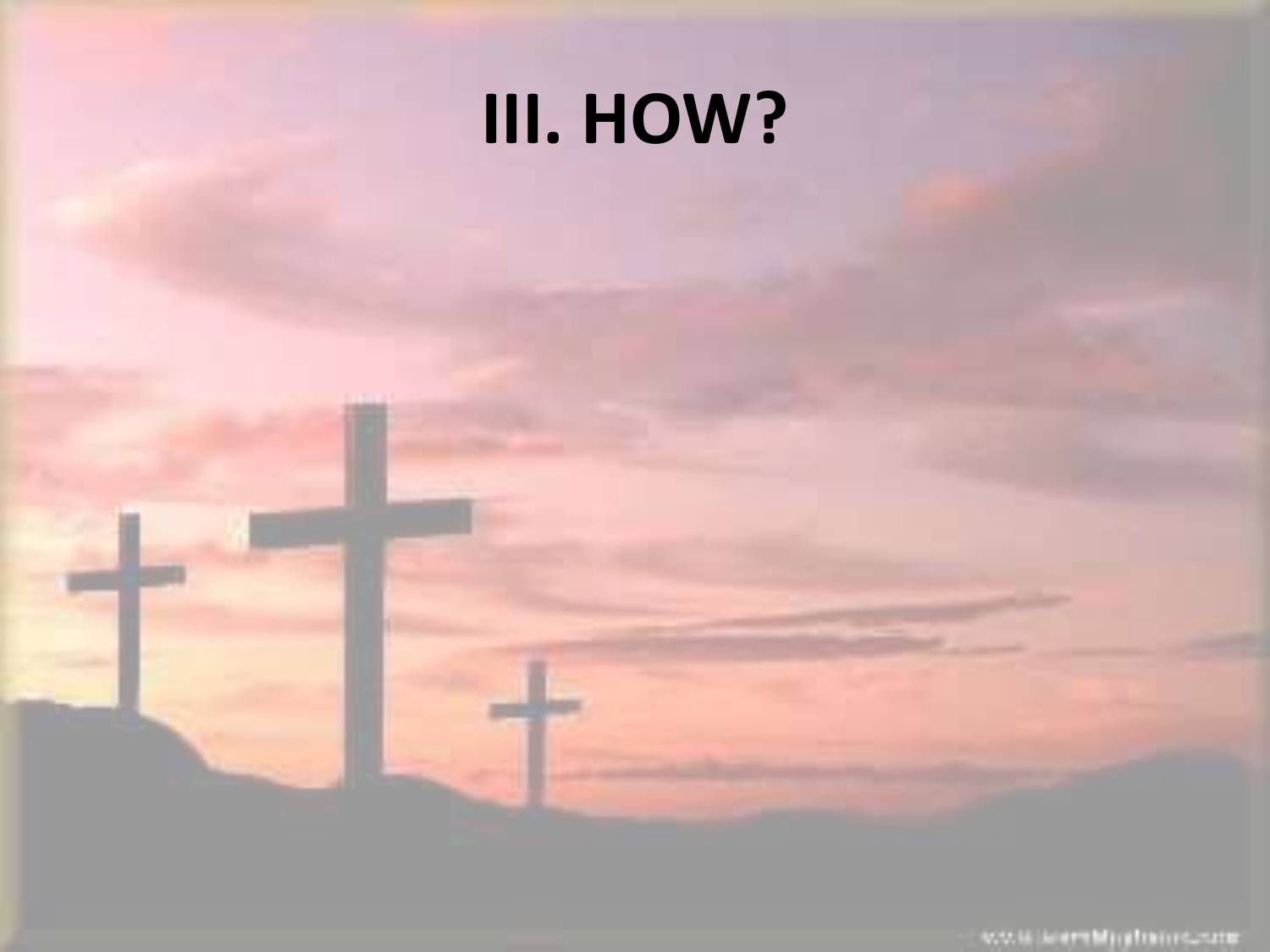

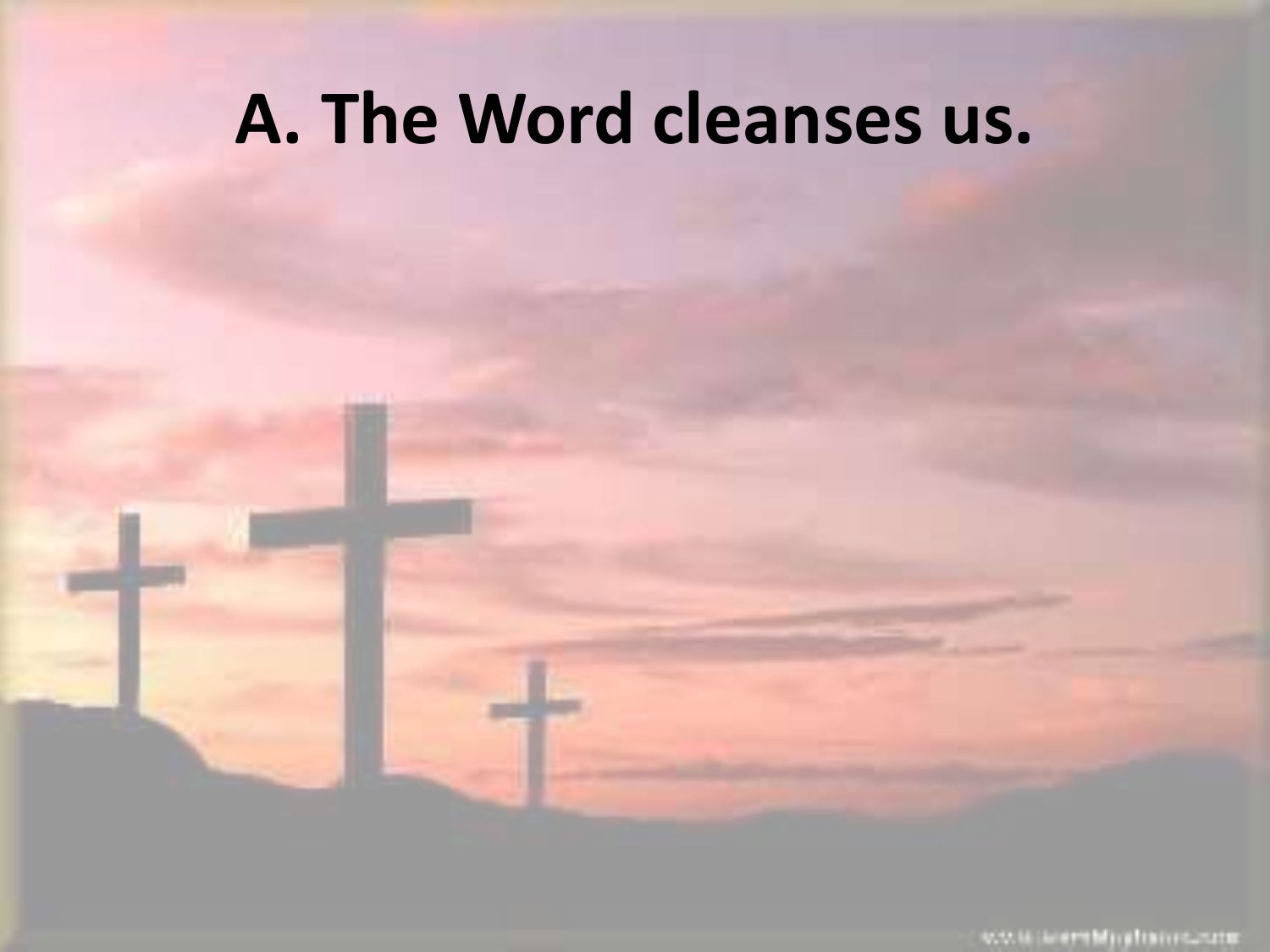#### **A. The Word cleanses us.**

www.laternMaghannschate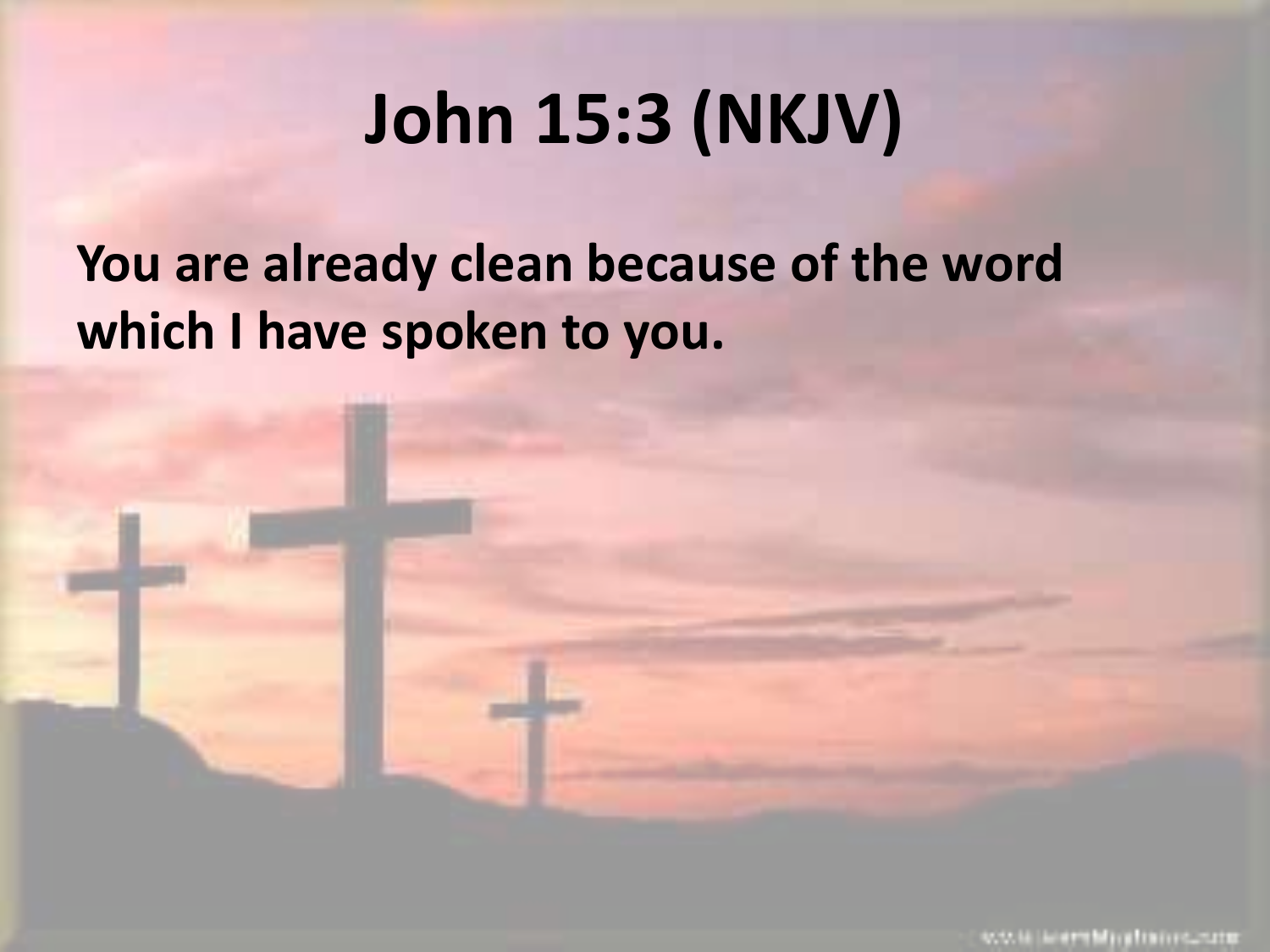# **John 15:3 (NKJV)**

#### **You are already clean because of the word which I have spoken to you.**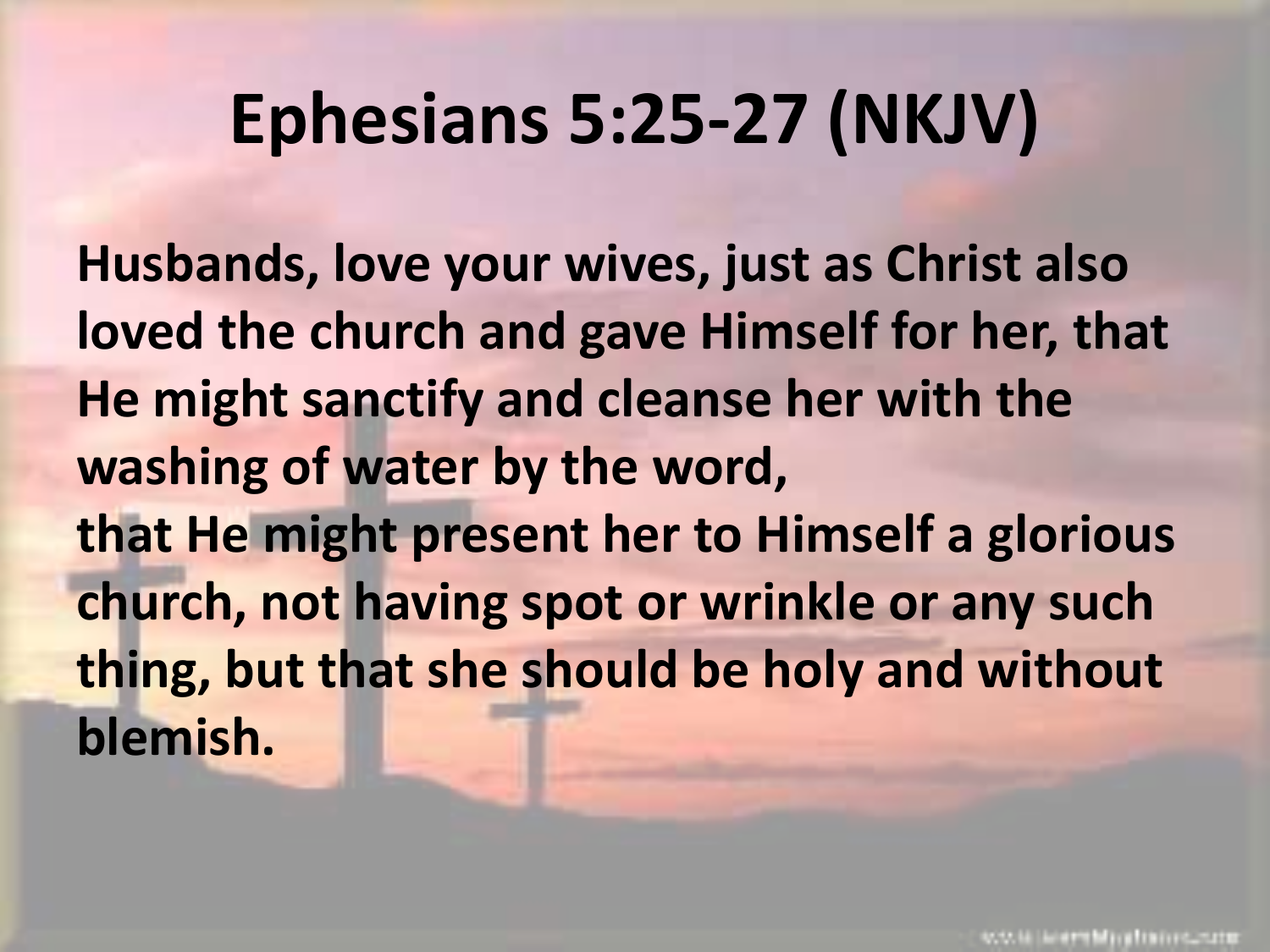## **Ephesians 5:25-27 (NKJV)**

**Husbands, love your wives, just as Christ also loved the church and gave Himself for her, that He might sanctify and cleanse her with the washing of water by the word, that He might present her to Himself a glorious church, not having spot or wrinkle or any such thing, but that she should be holy and without blemish.**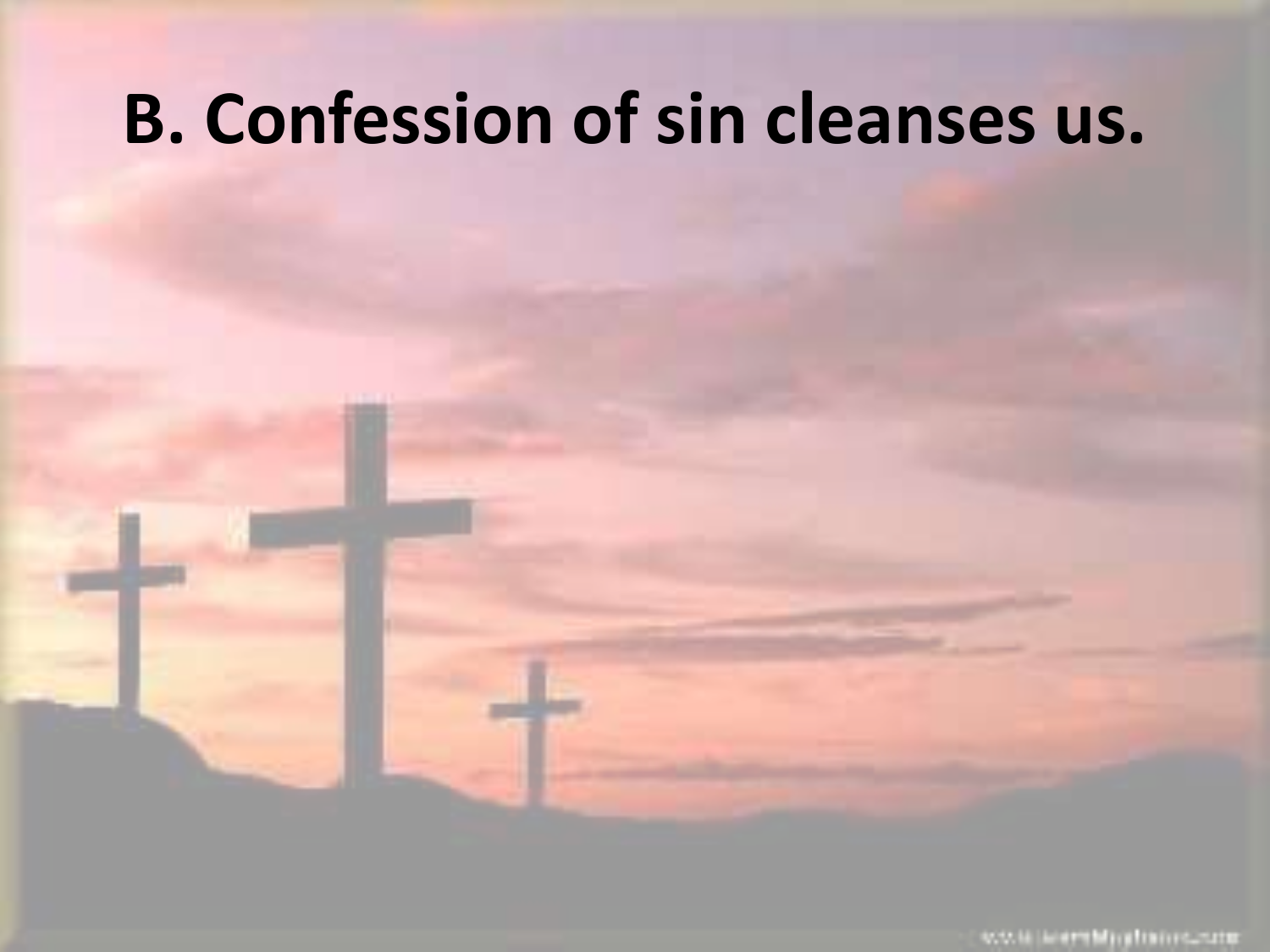## **B. Confession of sin cleanses us.**

www.latermMaghtanic.com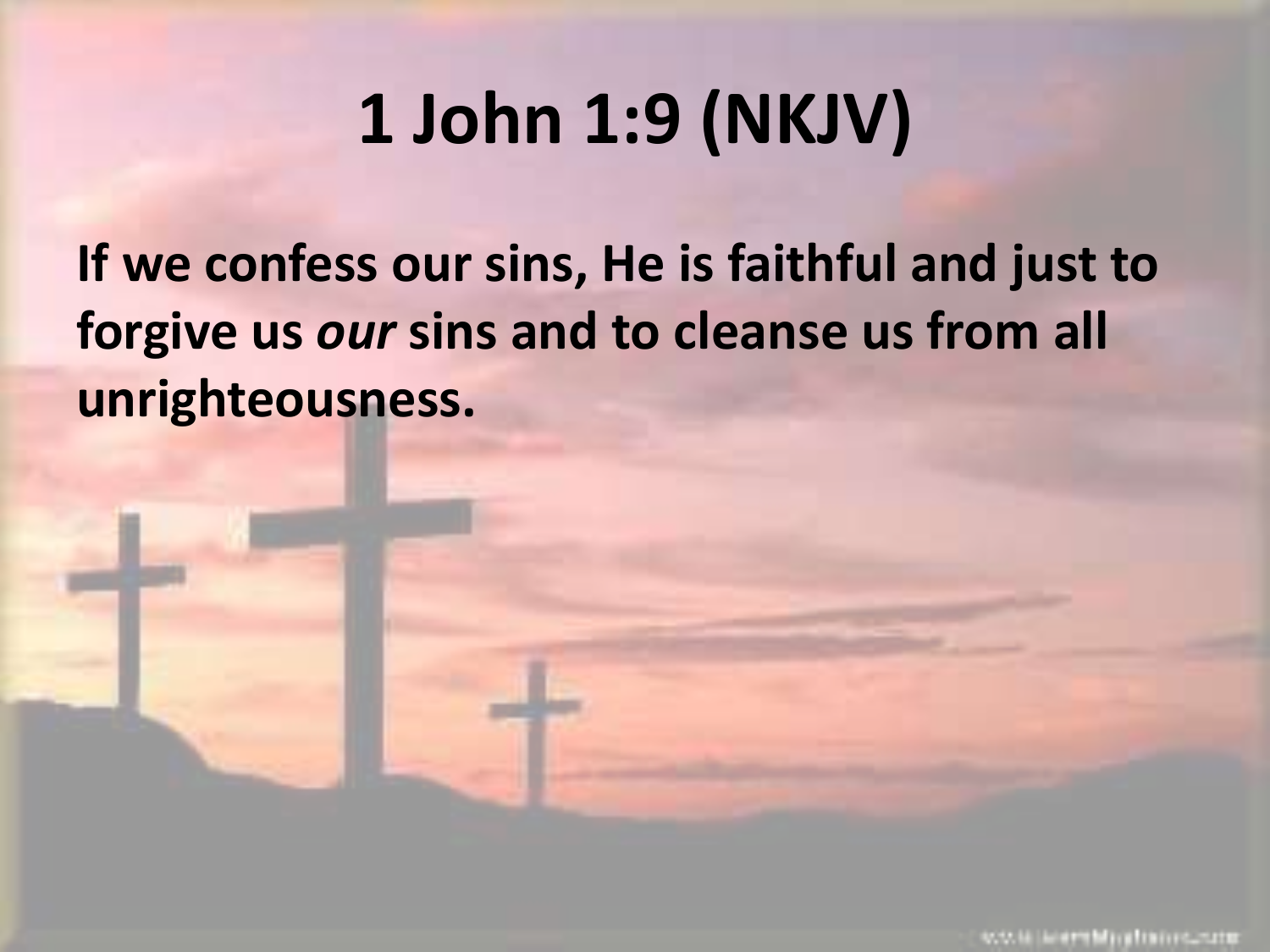# **1 John 1:9 (NKJV)**

**If we confess our sins, He is faithful and just to forgive us** *our* **sins and to cleanse us from all unrighteousness.**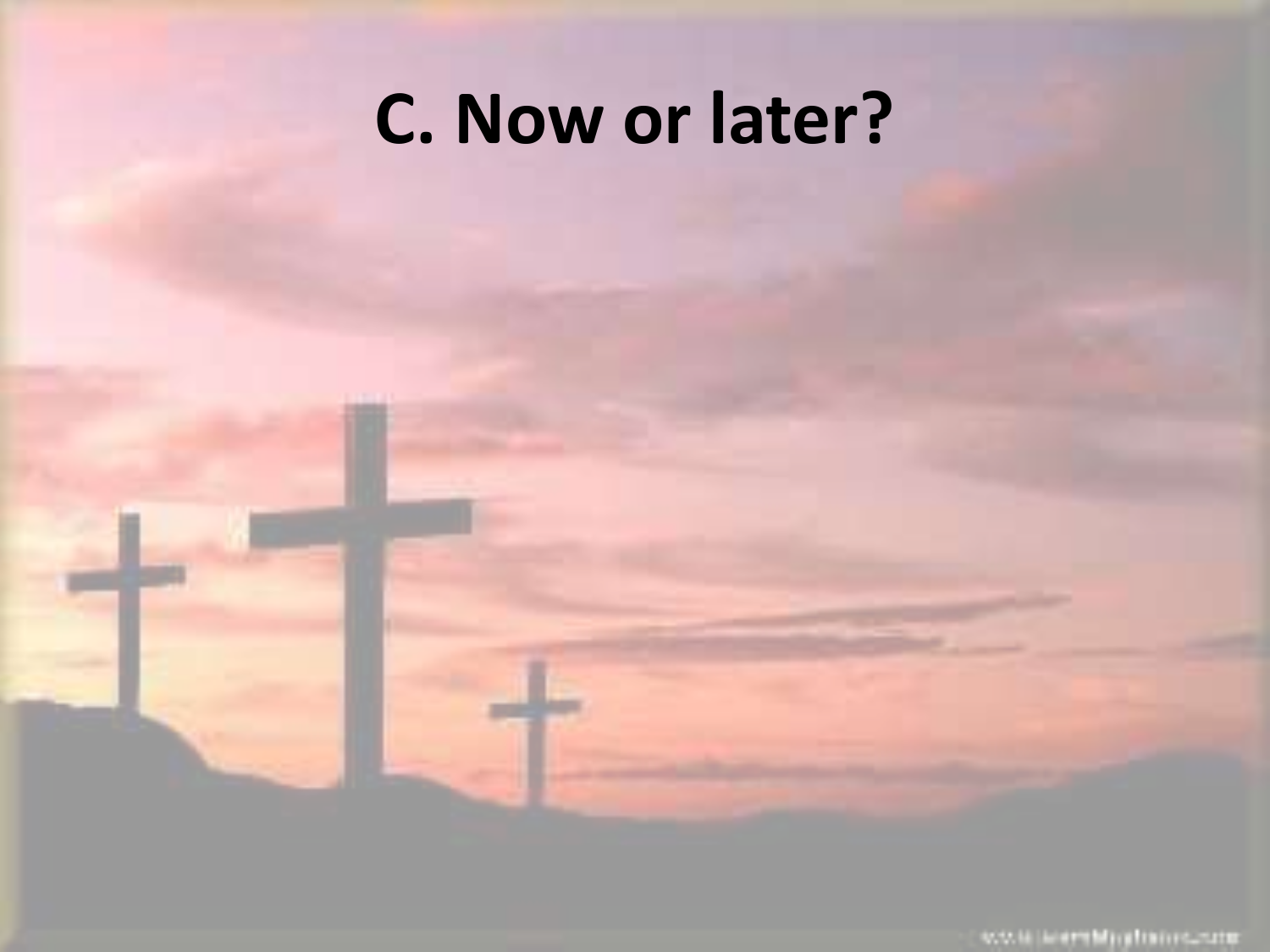# **C. Now or later?**

www.laternMaghanosaste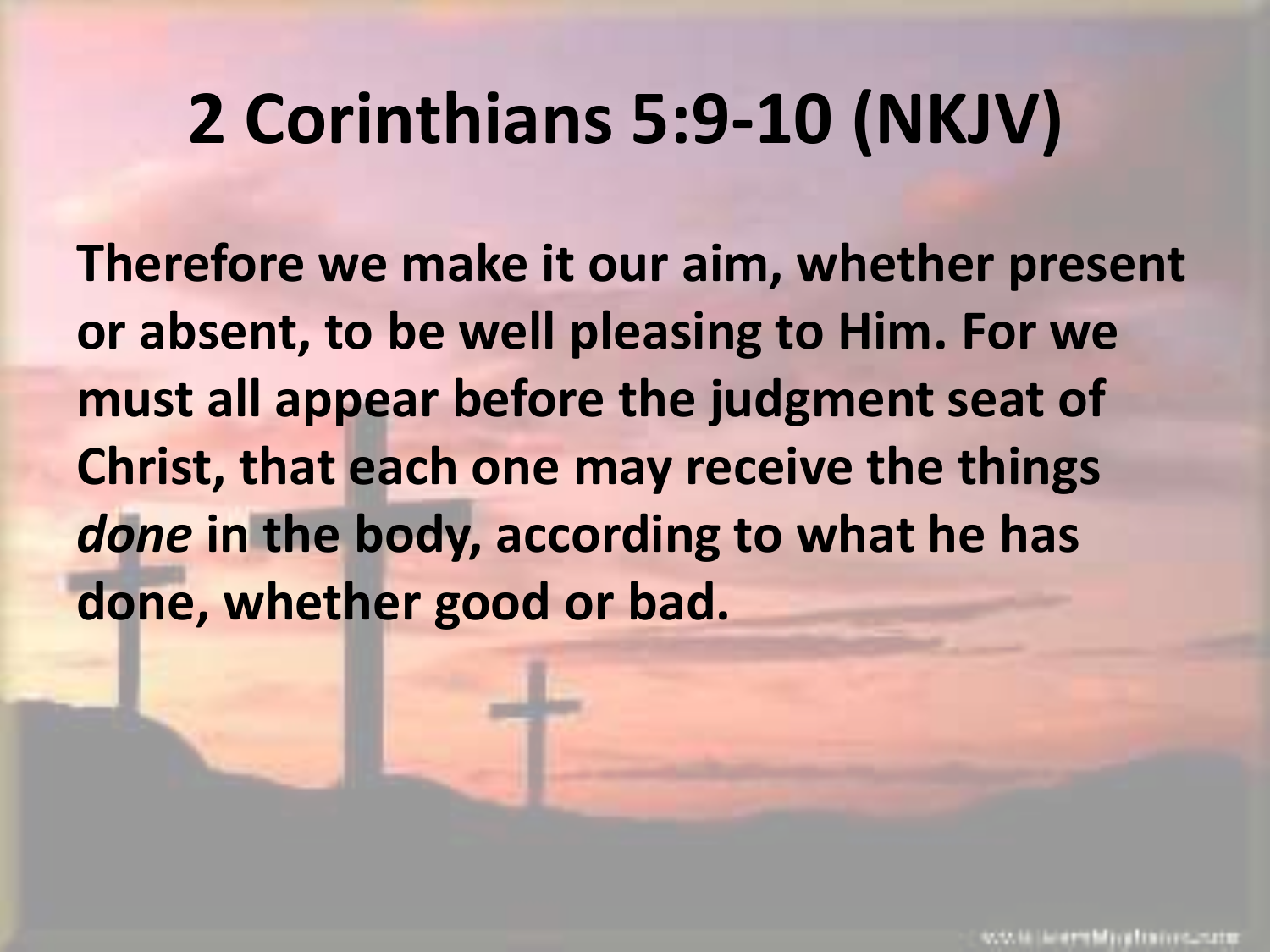#### **2 Corinthians 5:9-10 (NKJV)**

**Therefore we make it our aim, whether present or absent, to be well pleasing to Him. For we must all appear before the judgment seat of Christ, that each one may receive the things**  *done* **in the body, according to what he has done, whether good or bad.**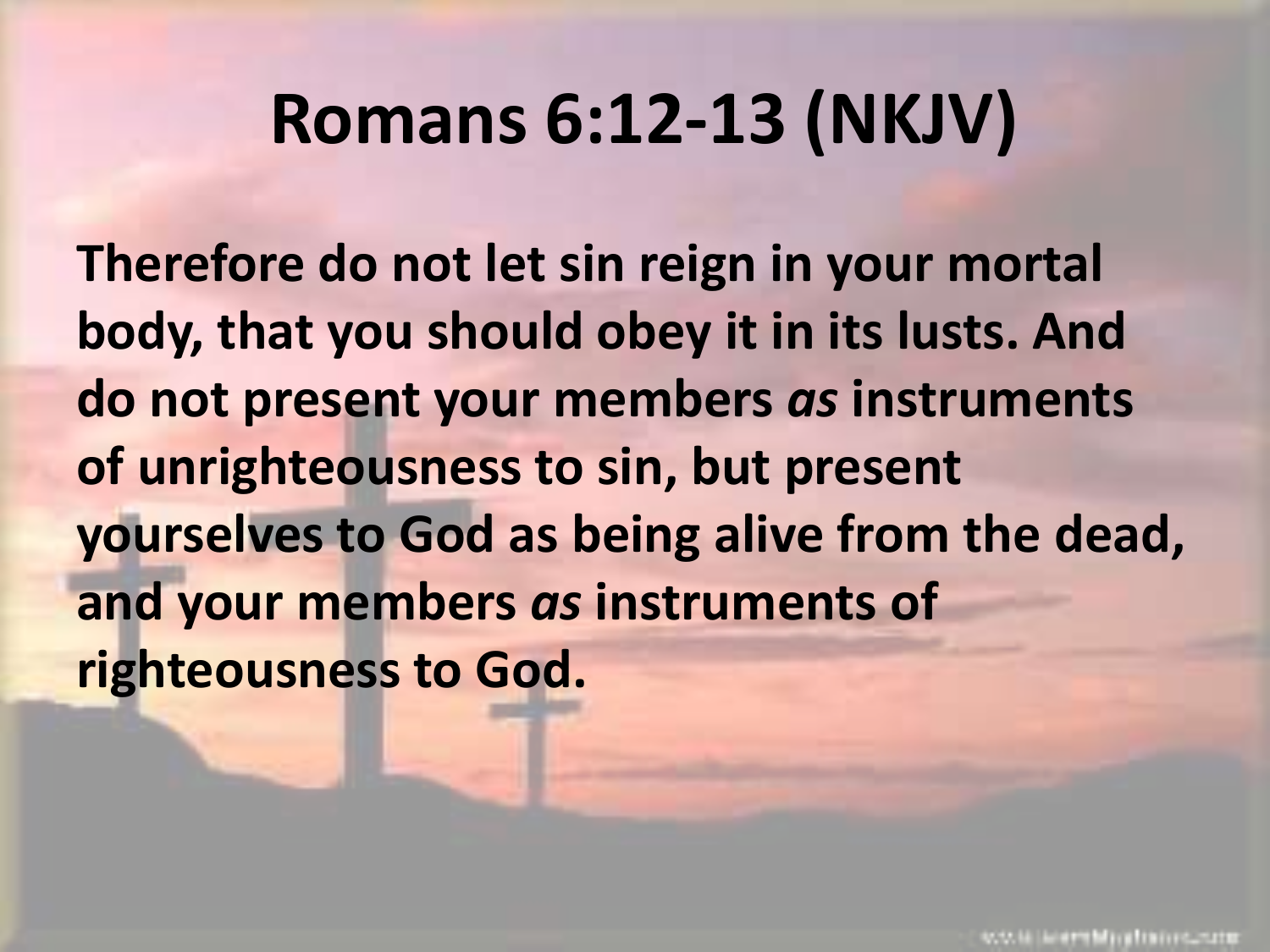#### **Romans 6:12-13 (NKJV)**

**Therefore do not let sin reign in your mortal body, that you should obey it in its lusts. And do not present your members** *as* **instruments of unrighteousness to sin, but present yourselves to God as being alive from the dead, and your members** *as* **instruments of righteousness to God.**